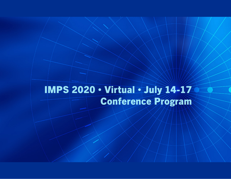# IMPS 2020 • Virtual • July 14-17 Conference Program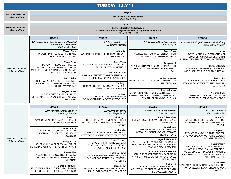#### **TUECDAY ∪UV 14**

| IULJUAI 'JULI 14                                |                                                                                                                                                          |                                                                                                                                                                      |                                                                                                                                 |                                                                                                                             |  |  |  |
|-------------------------------------------------|----------------------------------------------------------------------------------------------------------------------------------------------------------|----------------------------------------------------------------------------------------------------------------------------------------------------------------------|---------------------------------------------------------------------------------------------------------------------------------|-----------------------------------------------------------------------------------------------------------------------------|--|--|--|
| 8:45 a.m.-9:00 a.m.<br><b>US Eastern Time</b>   |                                                                                                                                                          | <b>STAGE 1</b><br><b>Welcome and Opening Remarks</b><br>Chair: Daniel Bolt                                                                                           |                                                                                                                                 |                                                                                                                             |  |  |  |
| 9:00 a.m.-9:55 a.m.<br><b>US Eastern Time</b>   |                                                                                                                                                          |                                                                                                                                                                      |                                                                                                                                 |                                                                                                                             |  |  |  |
|                                                 | <b>STAGE 1</b>                                                                                                                                           | <b>STAGE 2</b>                                                                                                                                                       | <b>STAGE 3</b>                                                                                                                  | <b>STAGE 4</b>                                                                                                              |  |  |  |
|                                                 | 1.1: Process Data: Core Concepts and Practical<br><b>Applications (Symposium)</b><br>Chair: Markus Broer                                                 | 1.2: Bayesian Inference<br>Chair: Silia Vitoratou                                                                                                                    | 1.3: Differential Item Functioning<br>Chair: Jing Lu                                                                            | 1.4: Advances in Cognitive Diagnostic Modeling<br>Chair: Matthew Madison                                                    |  |  |  |
|                                                 | <b>Markus Broer</b><br>PROCESS DATA: CORE CONCEPTS AND<br>PRACTICAL APPLICATIONS                                                                         | David Kaplan<br>BAYESIAN PROBABILISTIC FORECASTING WITH<br><b>STATE NAEP DATA</b>                                                                                    | <b>David Chen</b><br>INVESTIGATING ITEM PARAMETER DRIFT ON<br>DIFFERENT IRT LINKING METHODS                                     | Sigi He<br><b>IDENTIFICATION AND ESTIMATION OF</b><br>DIAGNOSTIC MODELS FOR ORDINAL<br>RESPONSES WITH POLYTOMOUS ATTRIBUTES |  |  |  |
| 10:00 a.m.-10:35 a.m.<br><b>US Eastern Time</b> | <b>Tiago Calico</b><br>SO YOU THINK YOU CAN PROCESS:<br>ONTOLOGICAL AND METHODOLOGICAL<br>BARRIERS TO INCORPORATING EVENT DATA IN<br>PSYCHOMETRIC MODELS | <b>Sinan Yavuz</b><br><b>COMPARISON OF MODEL AVERAGING AND</b><br>MODEL SELECTION METHODS<br><b>Maximilian Maier</b>                                                 | Dongmei Li<br>POPULATION INVARIANCE OF EQUATING FOR<br>SUBGROUPS DIFFERING IN ACHIEVEMENT<br>LEVEL                              | James Balamuta<br>AN EXPLORATORY GENERAL DIAGNOSTIC<br>MODEL USING THE LOGIT LINK FUNCTION                                  |  |  |  |
|                                                 | <b>Fusun Sahin</b><br>TO PENALIZE OR NOT TO PENALIZE NOT-<br><b>REACHED ITEMS: EFFECTS ON ITEM AND</b>                                                   | <b>BAYESIAN BENEFITS FOR META-ANALYSIS IN</b><br>THE PRESENCE OF PUBLICATION BIAS<br>Yanling Li<br>FORECASTING ALCOHOL USE WITH MISSING<br>DATA: A BAYESIAN APPROACH | <b>Weimeng Wang</b><br>AN ANCHOR-FREE TEST OF DIFFERENTIAL ITEM<br><b>FUNCTIONING</b>                                           | Jiaying Xiao<br>A COGNITIVE DIAGNOSTIC MODEL FOR<br>HIERARCHICAL ATTRIBUTES AND LEARNING                                    |  |  |  |
|                                                 | <b>ABILITY ESTIMATIONS</b><br>Xiaying Zheng                                                                                                              |                                                                                                                                                                      | <b>Xiaying Zheng</b><br>A CAUTIONARY NOTE ON USING THE MANTEL-                                                                  | <b>TRAJECTORIES</b><br><b>Yinghan Chen</b>                                                                                  |  |  |  |
|                                                 | USING RESPONSE TIME MODELING TO<br>DETECT SPEEDED EXAMINEES WITH MISSING<br><b>RESPONSES</b>                                                             | Jia Quan<br>THE IMPACT OF SAMPLE SIZE ON<br>EXCHANGEABILITY IN BAYESIAN SYNTHESIS                                                                                    | HAENSZEL METHOD TO DETECT DIFFERENTIAL<br><b>ITEM FUNCTIONING OF 3PL ITEMS</b>                                                  | ESTIMATION OF K AND Q MATRIX IN<br>RESTRICTED LATENT CLASS MODELS                                                           |  |  |  |
|                                                 | <b>STAGE 1</b>                                                                                                                                           | <b>STAGE 2</b>                                                                                                                                                       | <b>STAGE 3</b>                                                                                                                  | <b>STAGE 4</b>                                                                                                              |  |  |  |
|                                                 | 2.1: Aberrant Response Behavior<br>Chair: Jorge Tendeiro                                                                                                 | 2.2: Multilevel Analysis<br>Chair: Holger Brandt                                                                                                                     | 2.3: Novel Constructs and Formats<br>Chair: Peter Halpin                                                                        | 2.4: Causal Inference<br>Chair: Jee-Seon Kim                                                                                |  |  |  |
|                                                 | Xiaoou Li<br>COMPOUND SEQUENTIAL DETECTION OF<br><b>COMPROMISED ITEMS</b>                                                                                | <b>Hsiu-Ting Yu</b><br>EFFECT SIZE MEASURES FOR MULTILEVEL<br>MODELS: CONCEPTUAL AND COMPUTATION<br><b>ISSUES</b>                                                    | <b>Anne Thissen-Roe</b><br>ESTIMATING APPROXIMATE NUMBER SENSE<br>(ANS) ACUITY                                                  | Youmi Suk<br>EVALUATING THE EFFECTS OF EXTENDED<br>TIME ACCOMMODATIONS IN OBSERVATIONAL<br><b>STUDIES</b>                   |  |  |  |
|                                                 | Hotaka Maeda<br>MODELING UNIQUE ITEM RESPONSE<br>PATTERNS OF SUSPECTED ABERRANT<br>EXAMINEES                                                             | <b>Hok Chio Lai</b><br>MULTILEVEL BOOTSTRAP CONFIDENCE<br>INTERVALS FOR STANDARDIZED EFFECT SIZE                                                                     | <b>Lewis Baker</b><br>DIFFERENCES IN SYMBOLIC AND NON-<br>SYMBOLIC MEASURES OF APPROXIMATE<br><b>NUMBER SENSE</b>               | Soojin Park<br>ESTIMATION AND SENSITIVITY ANALYSIS<br>FOR CAUSAL DECOMPOSITION ANALYSIS IN                                  |  |  |  |
| 10:40 a.m.-11:15 a.m.<br><b>US Eastern Time</b> | Hongyue Zhu<br><b>BAYESIAN CHANGE POINT ANALYSIS FOR</b><br>DETECTING ABERRANT RESPONSE BEHAVIORS                                                        | Diego Carrasco<br>STUDENTS RATING THE LEVELS OF<br>DISCUSSION IN THE CLASSROOM AND<br>SHOWING LACK OF CONSENSUS                                                      | Hojjatolla Farahani<br>AFTER THEMATIC ANALYSIS: INTRODUCING<br>THE FUZZY THEMATIC NETWORK ANALYSIS IN<br>PSYCHOLOGICAL RESEARCH | <b>DISPARITY RESEARCH</b><br>Satoshi Usami<br>A POTENTIAL OUTCOME APPROACH TO<br>WITHIN-PERSON CAUSAL EFFECTS OF            |  |  |  |
|                                                 | Kaiwen Man<br>ASSESSING PRE-KNOWLEDGE CHEATING<br>VIA INNOVATIVE TECHNOLOGY-ENHANCED<br>MEASURES                                                         | Sacha Epskamp<br>INTRODUCING PSYCHONETRICS, AN R<br>PACKAGE FOR STRUCTURAL EQUATION<br><b>MODELLING</b>                                                              | E. Manolo Romero Escobar<br>RANK-ORDER RESPONSE ITEM SCORING IN<br>AN ABILITY-BASED BATTERY OF EMOTIONAL<br>INTELLIGENCE        | TIME-VARYING CONTINUOUS TREATMENTS:<br>AN EMPHASIS ON CONTROLLING PERSON'S<br><b>STABLE TRAIT FACTORS</b>                   |  |  |  |
|                                                 | Daniella Rebouças<br>RESPONSE TIMES AND CLICK-THROUGH DATA<br>FOR DETECTION OF CARELESS RESPONSES                                                        | Jorge Bazan<br>RESIDUAL ANALYSIS IN SINGLE LEVEL AND<br>MULTILEVEL RASCH COUNTS MODELS                                                                               | <b>Jing Chen</b><br>PSYCHOMETRIC MODELS FOR NEXT<br><b>GENERATION SCIENCE STANDARDS ALIGNED</b><br><b>SCIENCE ASSESSMENTS</b>   | <b>Keith Markus</b><br>NON-CAUSAL DETERMINATION: IMPLICATIONS<br>FOR CAUSAL EXPLANATION AND CAUSAL<br><b>MODELING</b>       |  |  |  |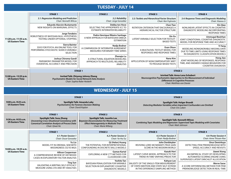## **TUESDAY ∙ JULY 14**

|                                                 | <b>STAGE 1</b>                                                                                                           | <b>STAGE 2</b>                                                                                 | <b>STAGE 3</b>                                                                                   | <b>STAGE 4</b>                                                                                                                                                                                 |
|-------------------------------------------------|--------------------------------------------------------------------------------------------------------------------------|------------------------------------------------------------------------------------------------|--------------------------------------------------------------------------------------------------|------------------------------------------------------------------------------------------------------------------------------------------------------------------------------------------------|
| 11:20 a.m.-11:55 a.m.<br><b>US Eastern Time</b> | 3.1: Regression Modeling and Prediction<br>Chair: Kenneth Wilcox                                                         | 3.2: Reliability<br>Chair: Jorge González                                                      | 3.3: Testlets and Hierarchical Factor Structure<br>Chair: Ken Fujimoto                           | 3.4: Response Times and Diagnostic Modeling<br>Chair: Xiaoou Li                                                                                                                                |
|                                                 | <b>Eduardo Alarcón-Bustamante</b><br>NEW INSIGHTS ON MARGINAL EFFECTS                                                    | Debby ten Hove<br>SELECTING THE APPROPRIATE ICC TO<br>ESTIMATE INTERRATER RELIABILITY          | <b>Chen Tian</b><br><b>ROTATION CRITERION THAT ENCOURAGES A</b><br>HIERARCHICAL FACTOR STRUCTURE | Xin Qiao<br>NONLINEAR LATENT EFFECTS IN COGNITIVE<br>DIAGNOSTIC MODELING INCORPORATING<br><b>RESPONSE TIMES</b>                                                                                |
|                                                 | Jorge Tendeiro<br>ROBUSTNESS OF BAYESIAN NULL HYPOTHESIS<br><b>TESTING UNDER OPTIONAL STOPPING</b>                       | Pedro Henrique Ribeiro Santiago<br>A NEW APPROACH FOR BAYESIAN OMEGA<br><b>ESTIMATION</b>      | Xin Xu<br>LATENT VARIABLE SELECTION FOR TESTLET-<br><b>BASED TESTS</b>                           | <b>Ummugul Bezirhan</b><br>JOINT CONDITIONAL COGNITIVE DIAGNOSTIC<br>MODEL FOR RESPONSE TIME AND ACCURACY                                                                                      |
|                                                 | <b>Sierra Bainter</b><br>SSVS FOR PSYCH: AN ONLINE TOOL FOR<br>PERFORMING STOCHASTIC SEARCH VARIABLE<br><b>SELECTION</b> | Nadja Bodner<br>A COMPARISON OF INTERRATER AGREEMENT<br><b>MEASURES FOR BINARY TIME SERIES</b> | <b>Evan Olson</b><br>A MULTILEVEL TESTLET MODEL FOR<br>RESPONSES AND RESPONSE TIMES              | Yi Yang<br>MODELING NONIGNORABLE MISSING DATA<br>DUE TO TIME LIMITS USING RESPONSE TIMES<br>IN DIAGNOSTIC CLASSIFICATION MODELS                                                                |
|                                                 | Joshua Chiroma Gandi<br>PARSIMONY-PARAMETER MODEL FOR<br>EVIDENTIAL ACCURACY AND PRECISION                               | Zhengiu Lu<br>A STRUCTURAL EQUATION MODELING<br>APPROACH TO MULTILEVEL RELIABILITY<br>ANALYSIS | Nana Kim<br>APPLICATION OF NONCOMPENSATORY MIRT<br>TO PASSAGE-BASED TESTS                        | Hong Jiao<br>JOINT MODELING OF RESPONSES, RESPONSE<br>TIME, AND ANSWER CHANGE BEHAVIORS FOR<br><b>COGNITIVE DIAGNOSIS</b>                                                                      |
|                                                 | <b>STAGE 1</b>                                                                                                           |                                                                                                |                                                                                                  | <b>STAGE 2</b>                                                                                                                                                                                 |
| 12:00 p.m.-12:55 p.m.<br><b>US Eastern Time</b> | Invited Talk: Zhiyong Johnny Zhang<br>Psychometric Models for Social Network Data Analysis<br>Chair: Sophia Rabe-Hesketh |                                                                                                |                                                                                                  | <b>Inivited Talk: Anna-Lena Schubert</b><br>Neurocognitive Psychometric Approaches to the Measurement of Individual<br><b>Differences in Cognitive Processes</b><br>Chair: Matthias von Davier |

|                                               | <b>STAGE 1</b>                                                                                                                                                        |                                                                                                                                                                                                                                                                                                                             | <b>STAGE 2</b>                                                                                                                       |                                                                                                                              |
|-----------------------------------------------|-----------------------------------------------------------------------------------------------------------------------------------------------------------------------|-----------------------------------------------------------------------------------------------------------------------------------------------------------------------------------------------------------------------------------------------------------------------------------------------------------------------------|--------------------------------------------------------------------------------------------------------------------------------------|------------------------------------------------------------------------------------------------------------------------------|
| 9:00 a.m.-9:25 a.m.<br><b>US Eastern Time</b> | <b>Spotlight Talk: Amanda Luby</b><br><b>Psychometrics for Forensic Decision-Making</b><br>Chair: David Kaplan                                                        |                                                                                                                                                                                                                                                                                                                             | <b>Spotlight Talk: Holger Brandt</b><br>Detecting Mediator Variables when Important Confounders are Omitted<br>Chair: Eric Loken     |                                                                                                                              |
|                                               | <b>STAGE 1</b>                                                                                                                                                        | <b>STAGE 2</b>                                                                                                                                                                                                                                                                                                              |                                                                                                                                      | <b>STAGE 3</b>                                                                                                               |
| 9:30 a.m.-9:55 a.m.<br><b>US Eastern Time</b> | <b>Spotlight Talk: Susu Zhang</b><br><b>Uncovering Cross-Situational Consistency with</b><br><b>Canonical Correlation Analysis of Process Data</b><br>Chair: Oiwei He | Spotlight Talk: JoonHo Lee<br><b>Spotlight Talk: Kenneth Wilcox</b><br><b>Bayesian Deconvolution for Measuring Treatment</b><br><b>Combining Topic Modeling and Regression: Supervised Topic Modeling with Covariates</b><br><b>Effect Heterogenieity in Multisite Trials</b><br>Chair: Matt Johnson<br>Chair: Marie Wiberg |                                                                                                                                      |                                                                                                                              |
|                                               | <b>STAGE 1</b>                                                                                                                                                        | <b>STAGE 2</b>                                                                                                                                                                                                                                                                                                              | <b>STAGE 3</b>                                                                                                                       | <b>STAGE 4</b>                                                                                                               |
|                                               | 4.1: Poster Session 1<br>Chair: Oscar Gonzalez                                                                                                                        | 4.2: Poster Session 2<br>Chair: Ya-Hui Su                                                                                                                                                                                                                                                                                   | 4.3: Poster Session 3<br>Chair: Nadja Bodner                                                                                         | 4.4: Poster Session 4<br>Chair: Anne Thissen-Roe                                                                             |
| 10:00 a.m.-10:35 a.m.                         | Yu Liu<br>MODEL FIT IN ORDINAL SEM WITH<br>MISSINGNESS: D2 VS MI2S                                                                                                    | Qi (Helen) Huang<br>THE POTENTIAL FOR INTERPRETATIONAL<br><b>CONFOUNDING IN DISCRETE SKILLS MODELS</b>                                                                                                                                                                                                                      | John Denbleyker<br>REVIVING LORD-MCNEMAR'S TRUE GAIN<br><b>SCORE IN THE MODERN WORLD</b>                                             | Onur Demirkaya<br>DETECTING ITEM PREKNOWLEDGE WITH<br>SPEED, ACCURACY AND REVISITS                                           |
| <b>US Eastern Time</b>                        | <b>Allison Cooperman</b><br>A COMPREHENSIVE REVIEW OF HEYWOOD<br>CASES IN EXPLORATORY FACTOR ANALYSIS                                                                 | <b>Gamze Kartal</b><br><b>EXPLORING A NEW CTT METHOD FOR</b><br><b>CLASSROOM CDM</b>                                                                                                                                                                                                                                        | Kazuki Hori<br>LATENT CURVE MODEL APPROACH TO THE<br>TREND IN TIME-VARYING PREDICTOR                                                 | Jiawei Xiong<br>AN EMPIRICAL STUDY OF DEVELOPING<br>AUTOMATED SCORING ENGINE USING<br>SUPERVISED LATENT DIRICHLET ALLOCATION |
|                                               | <b>Ting Sun</b><br>VALIDATING A WRITING SELF-EFFICACY<br>MEASURE USING CFA AND IRT ANALYSES                                                                           | <b>Yoshito Tan</b><br>BAYESIAN PENALIZATION FOR VARIABLE<br>SELECTION IN EXPLANATORY COGNITIVE<br><b>DIAGNOSTIC MODELS</b>                                                                                                                                                                                                  | Kahyun Lee<br>VALIDITY OF THE SINGLE-ITEM MEASUREMENT<br>OF STATE EMOTION AND STATE SELF-ESTEEM<br>IN THE EXPERIENCE SAMPLING METHOD | <b>Merve Sarac</b><br>A SCORE DIFFERENCING METHOD FOR ITEM<br>PREKNOWLEDGE DETECTION IN REAL-TIME                            |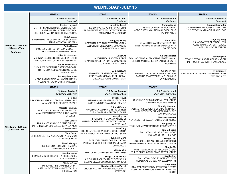|                                                              | <b>STAGE 1</b>                                                                                                                        | <b>STAGE 2</b>                                                                                                           | <b>STAGE 3</b>                                                                                                                    | <b>STAGE 4</b>                                                                              |
|--------------------------------------------------------------|---------------------------------------------------------------------------------------------------------------------------------------|--------------------------------------------------------------------------------------------------------------------------|-----------------------------------------------------------------------------------------------------------------------------------|---------------------------------------------------------------------------------------------|
|                                                              | 4.1: Poster Session 1<br>Continued                                                                                                    | 4.2: Poster Session 2<br>Continued                                                                                       | 4.3: Poster Session 3<br>Continued                                                                                                | 4.4: Poster Session 4<br>Continued                                                          |
|                                                              | Kentaro Hayashi<br>ON THE RELATIONSHIP BETWEEN FACTORS<br>AND PRINCIPAL COMPONENTS VIA<br><b>COEFFICIENT ALPHA IN HIGH-DIMENSIONS</b> | <b>Athul Sudheesh</b><br>EXPLORING TEMPORAL FUNCTIONAL<br>DEPENDENCIES BETWEEN LATENT SKILLS IN<br>SUMMATIVE ASSESSMENTS | <b>Stefany Mena</b><br>TESTING CHANGES IN MULTILEVEL<br>MODELS WITH NON-NORMAL DATA USING<br>PERMUTATION                          | Shuangshuang Xu<br>UTILIZING ITEM RESPONSE TIME IN ITEM<br>SELECTION IN VARIABLE-LENGTH CAT |
|                                                              | <b>Chris Strauss</b><br>EVALUATING THE USE OF FACTOR SCORES IN<br><b>LATENT MEDIATION MODELS</b>                                      | <b>Mingying Zheng</b><br>COMPUTERIZED ADAPTIVE TESTING ITEM                                                              | Hanna Kim<br><b>CHALLENGES AND STRATEGIES FOR</b>                                                                                 | <b>Xiaoguang Yang</b><br>A SHADOW TEST APPROACH FOR                                         |
| 10:00 a.m.-10:35 a.m.<br><b>US Eastern Time</b><br>Continued | Selim Havan<br>MODEL SIZE EFFECT ON SEM MODEL FIT<br>INDICES WITH NON-NORMAL DATA                                                     | SELECTION FOR BAYESIAN DIAGNOSTIC<br><b>CLASSIFICATION MODELS</b>                                                        | INVESTIGATING INTERDEPENDENCE WITH<br><b>DYADIC DATA</b>                                                                          | <b>CONSTRAINED CAT WITH EQUAL</b><br><b>MEASUREMENT PRECISION</b>                           |
|                                                              | <b>Ellen Fitzsimmons</b><br>MARGINAL AND CONDITIONAL POSTERIOR<br>PREDICTIVE P-VALUES FOR BAYESIAN SEM                                | <b>Jake Cho</b><br>A STATISTICAL PROCEDURE FOR<br>Q-MATRIX SPECIFICATION IN DIAGNOSTIC<br><b>CLASSIFICATION MODELS</b>   | <b>Amanda Ferster</b><br><b>EVALUATION OF AN EDUCATOR PROFESSIONAL</b><br>DEVELOPMENT SERIES VIA LATENT GROWTH<br><b>MODELING</b> | Sooyong Lee<br>ITEM SELECTION AND TRAIT ESTIMATION<br>METHODS IN CAT WITH ITEM LEAKAGE      |
|                                                              | Raul Corrêa Ferraz<br>SHOULD WE COMPUTE OBSERVED POWER<br>IN STRUCTURAL EQUATION MODELING<br>APPLICATIONS?                            | J.Rachael Ahn                                                                                                            | <b>Jung Yeon Park</b>                                                                                                             | <b>Kylie Gorney</b>                                                                         |
|                                                              | Zachary Goodman<br>MODELING BRAIN SIGNAL VARIABILITY AS<br>NEURAL NETWORK LATENT VARIABLES                                            | DIAGNOSTIC CLASSIFICATION USING A<br>POLYTOMOUS MEASURE OF KOREAN<br>ORGANIZATIONAL COMMITMENT                           | <b>GENERALIZED ADDITIVE MODELING FOR</b><br>LEARNING TRAJECTORIES IN E-LEARNING<br><b>ENVIRONMENTS</b>                            | A BAYESIAN ANALYSIS OF ITEM FORMAT AND<br><b>TEST SECURITY</b>                              |
|                                                              | <b>STAGE 1</b>                                                                                                                        | <b>STAGE 2</b>                                                                                                           | <b>STAGE 3</b>                                                                                                                    |                                                                                             |
|                                                              | 5.1: Poster Session 5<br>Chair: Irina Grabovsky                                                                                       | 5.2: Poster Session 6<br>Chair: Richard Feinberg                                                                         | 5.3: Poster Session 7<br>Chair: Leah Feuerstahler                                                                                 |                                                                                             |
|                                                              | Taj Rollins<br>A RASCH ANALYSIS AND CROSS-CULTURAL DIF<br>ANALYSIS OF THE PURPOSE SCALE                                               | <b>Brooke Houck</b><br>USING PAIRWISE PREFERENCE CHOICE<br>MODELING FOR EXAM DEVELOPMENT                                 | Ki Cole<br>IRT ANALYSIS OF DIMENSIONAL STRUCTURE<br>AND ITEM WORDING EFFECTS                                                      |                                                                                             |
|                                                              | <b>Marcelo Henklain</b><br>MULTIGROUP CONFIRMATORY FACTOR<br>ANALYSIS WITH THE TEACHER BEHAVIOR<br>CHECKLIST                          | Ching Yi Chiang<br>APPLYING DATA MINING IN THE CHINESE<br>OPTIMISM-PESSIMISM TRAITS SCALE                                | <b>Timothy Holcomb</b><br>ASSESSING RELIABILITY OF DISCRIMINATION<br>AND DIFFICULTY PARAMETER WEIGHTED<br><b>SCORING MODELS</b>   |                                                                                             |
|                                                              | <b>Sam Cacace</b><br><b>INVARIANCE ANALYSIS OF THE CMNI-46:</b><br>DIFFERENCES IN SUB SCALES BETWEEN MEN                              | <b>Mengting Lee</b><br>PSYCHOMETRIC EXAMINATIONS OF<br>AUTHENTIC HAPPINESS INVENTORY AMONG                               | <b>Matthew Naveiras</b><br>A DYNAMIC TREE-BASED ITEM RESPONSE MODEL                                                               |                                                                                             |
| 10:40 a.m.-11:15 a.m.                                        |                                                                                                                                       | AUSTRALIANS<br><b>Biao Zeng</b>                                                                                          | <b>Tongtong Zou</b><br><b>ITEM-LEVEL MEASUREMENT OF RESPONSE STYLE</b>                                                            |                                                                                             |
| <b>US Eastern Time</b>                                       | <b>AND WOMEN</b><br><b>Tuba Gezer</b><br>DIFFERENTIAL ITEM ANALYSIS OF A COMMON                                                       | THE INFLUENCE OF WORDING DIRECTION ON<br>UNDERGRADUATE LEARNING BURNOUT SCALE                                            | Nnamdi Ezike<br>EVALUATION OF SAS IRT AND MCMC<br>PROCEDURES FOR THE GPCM                                                         |                                                                                             |
|                                                              | <b>STATISTICS EXAM</b><br><b>Ritesh Malaiya</b>                                                                                       | <b>Tung Min Liang</b><br>THE ESTABLISHMENT OF EVALUATION<br>INDICATORS FOR THE PERFORMANCE ARTS<br><b>CURRICULUM</b>     | Xiangyi Liao<br>ITEM COMPLEXITY AND THE MEASUREMENT<br>JOF GROWTH IN A VERTICAL SCALING CONTEXT                                   |                                                                                             |
|                                                              | SIMULATION STUDIES OF ITEM BIAS<br><b>ESTIMATION ACCURACY</b>                                                                         | <b>Wengian Lin</b><br>MEASURING ONLINE SOCIAL LONELINESS                                                                 | Mingjia Ma<br>MIRT ITEM PARAMETER RECOVERY UNDER<br>THREE-DIMENSIONAL COMPLEX STRUCTURE                                           |                                                                                             |
|                                                              | <b>Heather Gunn</b><br>COMPARISON OF IRT AND CFA PROCEDURES<br><b>FOR TESTING DIF</b>                                                 | Diego Luna Bazaldua<br>A GENERALIZABILITY STUDY OF TEACH, A<br><b>GLOBAL CLASSROOM OBSERVATION TOOL</b>                  | Sayaka Arai<br>EVALUATION OF CLASSICAL ICC USING<br>NUMERICAL SIMULATION BASED ON IRT                                             |                                                                                             |
|                                                              | <b>Chichen Chen</b><br>IMPROVING PERFORMANCE OF DIF<br>ASSESSMENT BY USING LATENT CLASS<br><b>INFORMATION</b>                         | <b>Magdalen Beiting-Parrish</b><br>CHOOSE ALL THAT APPLY: A PROBLEMATIC<br><b>ITEM TYPE?</b>                             | <b>Trent Combs</b><br>ITEM RESPONSE THEORY (IRT) RESPONSE-TIME<br>MODEL: MIXED-EFFECTS SPLINE WITH VARYING<br><b>KNOTS</b>        |                                                                                             |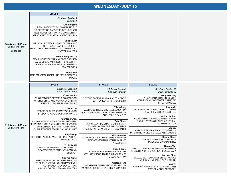|                                                                     | <b>STAGE 1</b>                                                                                                                                                                   |                                                                                                                                |                                                                                                          |
|---------------------------------------------------------------------|----------------------------------------------------------------------------------------------------------------------------------------------------------------------------------|--------------------------------------------------------------------------------------------------------------------------------|----------------------------------------------------------------------------------------------------------|
|                                                                     | 5.1: Poster Session 5<br>Continued                                                                                                                                               |                                                                                                                                |                                                                                                          |
|                                                                     | <b>Chunling Niu</b><br>A SIMULATION STUDY: COMPARING THE<br>DIF DETECTION CAPACITIES OF THE RASCH<br>TREES MODEL TESTS TO TWO COMMON DIF<br>APPROACHES FOR PARTIAL CREDIT MODELS |                                                                                                                                |                                                                                                          |
| 10:40 a.m.-11:15 a.m.<br><b>US Eastern Time</b><br><b>Continued</b> | <b>Eric Schuler</b><br>PARENT-CHILD MEASUREMENT INVARIANCE<br>OF CIGARETTE AND E-CIGARETTE<br><b>EXPECTANCIES USING DYADIC CONFIRMATORY</b><br><b>FACTOR ANALYSIS</b>            |                                                                                                                                |                                                                                                          |
|                                                                     | <b>Winnie Wing-Yee Tse</b><br>MEASUREMENT INVARIANCE FOR ORDERED<br>CATEGORICAL VARIABLES: THE NECESSITY<br>OF STRICT INVARIANCE FOR VALID GROUP<br><b>COMPARISONS</b>           |                                                                                                                                |                                                                                                          |
|                                                                     | Sohee Kim<br><b>ITEM PARAMETER DRIFT UNDER THE BIFACTOR</b><br><b>MODEL</b>                                                                                                      |                                                                                                                                |                                                                                                          |
|                                                                     | <b>STAGE 1</b>                                                                                                                                                                   | <b>STAGE 2</b>                                                                                                                 | <b>STAGE 3</b>                                                                                           |
|                                                                     | 6.1: Poster Session 8<br>Chair: Satoshi Usami                                                                                                                                    | 6.2: Poster Session 9<br>Chair: Jay Verkuilen                                                                                  | 6.3: Poster Session 10<br>Chair: Sierra Bainter                                                          |
|                                                                     | Chaochao Jia<br>WHO PERFORMS BETTER? A COMPARISON<br>OF ONLY-CHILD AND NON-ONLY-CHILD IN<br>SCHOOL USING PROPENSITY SCORE                                                        | Ji Li<br>SELECTING FACTORIAL INVARIANCE MODELS<br>WITH VARIANCE HETEROGENEITY                                                  | Mingya Huang<br>A BAYESIAN SOLUTION TO NON-<br>CONVERGENCE OF CROSSED RANDOM<br><b>EFFECTS MODELS</b>    |
|                                                                     | Xiaoxiao Liu<br>EFFECTS OF CLASSROOM TEACHING ON<br>STUDENTS' ACADEMIC PERFORMANCE                                                                                               | <b>Yifang Zeng</b><br>ASSESSING THE EMOTIONAL REGULATION<br><b>OUESTIONNAIRE IN CHINESE AND AMERICAN</b><br>ADOLESCENT SAMPLES | Xinyang Li<br>PROPENSITY SCORE MATCHING IN CROSS-<br><b>CLASSIFIED MULTILEVEL MODELS</b>                 |
| 11:20 a.m.-11:55 a.m.                                               | <b>Qiantong Chen</b><br>AN EMPIRICAL STUDY OF THE RELATIONSHIP<br>BETWEEN SCHOOL SIZE AND TEACHERS' WORK                                                                         | Yichi Zhang<br>A BAYESIAN REGION OF MEASUREMENT<br>EOUIVALENCE (ROME) APPROACH FOR                                             | Gulsah Gurkan<br>ACCOUNTING FOR MEASUREMENT ERROR<br>AND CLUSTERING IN CROSS-CULTURAL<br>ASSESSMENT DATA |
| <b>US Eastern Time</b>                                              | ENVIRONMENT SATISFACTION IN RURAL<br>CHINA: EVIDENCE FROM PISA 2015 SURVEY                                                                                                       | ESTABLISHING MEASUREMENT INVARIANCE                                                                                            | Yan Liu<br>APPLYING GENERALIZABILITY THEORY IN<br>INTERNATIONAL LARGE-SCALE ASSESSMENTS                  |
|                                                                     | Shiyi Zhang<br>EXPLORING FACTORS AND EFFECTS OF SOCIAL<br><b>MEDIA FATIGUE</b>                                                                                                   | Irina Uglanova<br>SOURCES OF LOCAL DEPENDENCE BETWEEN<br><b>INDICATORS WITHIN SCENARIO-BASED</b><br>ASSESSMENT                 | <b>Ronald Flores</b><br><b>IMPROVING LOSS FUNCTIONS WITH</b><br><b>INACCURATE PROBABILITIES</b>          |
|                                                                     | Yi Fang Zhai<br>A STUDY ON INFLUENCING FACTORS OF<br>DISADVANTAGED STUDENTS' READING<br><b>LITERACY</b>                                                                          | <b>Hugo Blasdel</b><br>DATA RECOVERY AT 0.99 CORRELATION                                                                       | Nayeon Yoo<br>UTILIZING MACHINE LEARNING TO PREDICT<br>STUDENT PROFICIENCY: PISA PROCESS DATA            |
|                                                                     | <b>Xiaoyue Xiong</b><br>WHAT ARE CENTRAL FACTORS RELATING                                                                                                                        | WITH 31% ERROR IN MULTI-MEASURE MDS<br><b>DECOMPOSITION</b>                                                                    | Jianshen Chen<br>EVALUATING ITEM ORDER EFFECT ACROSS<br><b>VARIOUS TEST-TAKER POPULATIONS</b>            |
|                                                                     | TO MIDDLE SCHOOL STUDENTS' SCIENCE<br><b>ACHIEVEMENTS: EVIDENCE FROM</b><br>PSYCHOLOGICAL NETWORK ANALYSIS                                                                       | <b>Xiaotong Yang</b><br>THE NUMBER OF ITERATIONS IN PARALLEL<br>ANALYSIS FOR DETECTING DIMENSIONALITY                          | Wei Xu<br>ABERRANT RESPONSE DETECTION: A JOINT<br><b>TESTLET MODEL APPROACH</b>                          |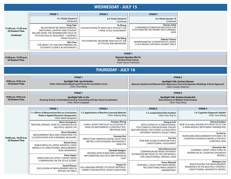|                                                                     | <b>STAGE 1</b>                                                                                                                                                                    | <b>STAGE 2</b>                                                                | <b>STAGE 3</b>                                                                                               |
|---------------------------------------------------------------------|-----------------------------------------------------------------------------------------------------------------------------------------------------------------------------------|-------------------------------------------------------------------------------|--------------------------------------------------------------------------------------------------------------|
|                                                                     | 6.1: Poster Session 8<br>Continued                                                                                                                                                | 6.2: Poster Session 9<br>Continued                                            | 6.3: Poster Session 10<br>Continued                                                                          |
| 11:20 a.m.-11:55 a.m.<br><b>US Eastern Time</b><br><b>Continued</b> | Song Yajie<br><b>RELATIONSHIP BETWEEN PARENTAL</b><br><b>EMOTIONAL SUPPORT AND STUDENT</b><br><b>FAILURE FEARS: THE INTERMEDIARY ROLE OF</b><br>PSYCHOLOGICAL RESILIENCE-EVIDENCE | Ya Zhang<br>CLASSIFICATION OF MATH SELF-EFFICACY ON<br>LARGE-SCALE ASSESSMENT | Simran Johal<br><b>COMPARING ESTIMATION METHODS FOR</b><br>PSYCHOMETRIC NETWORKS WITH ORDINAL<br><b>DATA</b> |
|                                                                     | <b>FROM PISA2018</b><br>Wei Chen<br>THE IMPACT OF TEACHER TRAINING ON<br><b>STUDENTS' SCIENCE ACHIEVEMENTS</b>                                                                    | Wei Wang<br>PSYCHOMETRIC NETWORK ANALYSIS OF JOB<br>ATTITUDES AND BEHAVIORS   | <b>Dakota Cintron</b><br>NONPARAMETRIC ESTIMATION OF LATENT<br>CLASS MODELS WITHIN A HILBERT SPACE           |

|                                                 | <b>STAGE 1</b>                                                                        |
|-------------------------------------------------|---------------------------------------------------------------------------------------|
| 12:00 p.m.-12:55 p.m.<br><b>US Eastern Time</b> | Keynote Speaker: Bin Yu<br>Veridical Data Science<br><b>Chair: Francis Tuerlinckx</b> |

| <b>THURSDAY · JULY 16</b> |  |
|---------------------------|--|
|                           |  |

|                                               | <b>STAGE 1</b>                                                                                                                           |                                                                                                                                | <b>STAGE 2</b>                                                                                                                                                        |                                                                                                               |
|-----------------------------------------------|------------------------------------------------------------------------------------------------------------------------------------------|--------------------------------------------------------------------------------------------------------------------------------|-----------------------------------------------------------------------------------------------------------------------------------------------------------------------|---------------------------------------------------------------------------------------------------------------|
| 9:00 a.m.-9:25 a.m.<br><b>US Eastern Time</b> | <b>Spotlight Talk: Jay Verkuilen</b><br>Fisher-Information Based Local Fit via the Correlation Curve<br>Chair: Chun Wang                 |                                                                                                                                | <b>Spotlight Talk: Zachary Roman</b><br>Bayesian Spatial and Network Auto-Regressive Structural Equation Modeling: A Novel Approach<br><b>Chair: Carolyn Anderson</b> |                                                                                                               |
|                                               | <b>STAGE 1</b>                                                                                                                           |                                                                                                                                | <b>STAGE 2</b>                                                                                                                                                        |                                                                                                               |
| 9:30 a.m.-9:55 a.m.<br><b>US Eastern Time</b> | <b>Spotlight Talk: Lu Ou</b><br>Knowing it Early in Embodied Learning: Forecasting with Eye-Hand Coordination<br>Chair: Steven Culpepper |                                                                                                                                | <b>Spotlight Talk: Andries VanderArk</b><br><b>New Advances in Mokken Scale Analysis</b><br>Chair: Ying Cheng                                                         |                                                                                                               |
|                                               | <b>STAGE 1</b>                                                                                                                           | <b>STAGE 2</b>                                                                                                                 | <b>STAGE 3</b>                                                                                                                                                        | <b>STAGE 4</b>                                                                                                |
|                                               | 7.1: Effects of Measurement Bias on Conclusions<br>Made in Applied Research (Symposium)<br>Chair: Alexis Georgeson                       | 7.2: Applications of Machine Learning Methods<br>Chair: Xueying Tang                                                           | 7.3: Longitudinal Data Analysis<br>Chair: Hsiu-Ting Yu                                                                                                                | 7.4: Cognitive Diagnostic Models<br>Chair: Susu Zhang                                                         |
| 10:00 a.m.-10:35 a.m.                         | <b>Alexis Georgeson</b><br>TREATING ORDINAL ITEMS AS CONTINUOUS IN<br>MULTIPLE-GROUP CFA                                                 | <b>Guoquo Zheng</b><br>USING LATENT DIRICHLET ALLOCATION TO<br><b>ANALYZE MATHEMATICS CONSTRUCTED-</b><br><b>RESPONSE DATA</b> | Kong ju Suh<br>APPLICATION OF A LONGITUDINAL<br>POLYTOMOUS ITEM RESPONSE THEORY<br>MIXTURE MODEL FOR LATENT CLASSES WITH                                              | <b>Richard Golden</b><br>NEW SCALABLE MISSPECIFICATION TESTS FOR<br><b>G-DINA MODELS WITH MANY PARAMETERS</b> |
|                                               | <b>Oscar Gonzalez</b><br>MEASUREMENT BIAS AND CONSISTENCY IN<br><b>CLASSIFICATION FOR SCREENING MEASURES</b>                             | <b>Sunmee Kim</b><br>PREDICTION-ORIENTED MODEL SELECTION<br><b>METRICS FOR EXTENDED REDUNDANCY</b><br>ANALYSIS                 | <b>DIFFERENT GROWTH TRAJECTORIES</b><br><b>Fen Fan</b>                                                                                                                | Ya-Hui Su<br><b>INCREASING MEASUREMENT EFFICIENCY IN</b><br>COGNITIVE DIAGNOSIS MODELS FOR TEST               |
| <b>US Eastern Time</b>                        | <b>Rachel Gross</b><br>ROBUSTNESS OF LATENT GROWTH CURVE<br>MODELS TO LONGITUDINAL MEASUREMENT                                           |                                                                                                                                | <b>ITEM AND SCORE ESTIMATION FOR A</b><br>LONGITUDINAL ASSESSMENT                                                                                                     | <b>CONSTRUCTION</b><br><b>Chenchen Ma</b>                                                                     |
|                                               | NON-INVARIANCE                                                                                                                           | <b>Danielle Rodgers</b><br>MISSING DATA IN MACHINE LEARNING:                                                                   | Silvia Bianconcini<br><b>COMPARISON BETWEEN DIFFERENT</b><br><b>ESTIMATION METHODS OF FACTOR MODELS</b>                                                               | <b>LEARNING LATENT STRUCTURES IN</b><br>HIERARCHICAL COGNITIVE DIAGNOSIS                                      |
|                                               | <b>Peter Halpin</b><br>WHEN DOES DIF AFFECT GROUP-MEAN<br><b>COMPARISONS ON THE SCALE SCORE?</b>                                         | IMPLEMENTING MULTIPLE IMPUTATION IN<br>CART                                                                                    | FOR LONGITUDINAL ORDINAL DATA                                                                                                                                         | <b>MODELS</b><br><b>Mangian Liao</b>                                                                          |
|                                               | <b>David Thissen</b><br>DISCUSSION OF MEASUREMENT BIAS IN<br><b>APPLIED SETTINGS</b>                                                     | Yanyan Fu<br>USE LANGUAGE MODELS TO SOLVE SENTENCE-<br><b>CORRECTION MULTIPLE-CHOICE QUESTIONS</b>                             | <b>Yasuo Miyazak</b><br>HOW WELL COULD TWO-WAVE MODEL<br><b>RECOVER THREE-WAVE GROWTH</b><br>PARAMETERS?                                                              | <b>INVESTIGATING THE MEASUREMENT</b><br>INVARIANCE IN THE MULTIPLE-STRATEGY<br>LONGITUDINAL DIAGNOSTIC MODEL  |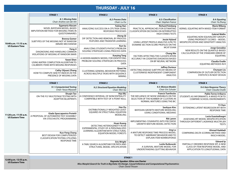#### **THURSDAY ∙ JULY 16**

|                                                 | <b>STAGE 1</b>                                                                                                                               | <b>STAGE 2</b>                                                                                                                               | <b>STAGE 3</b>                                                                                                                                  | <b>STAGE 4</b>                                                                                                                                 |
|-------------------------------------------------|----------------------------------------------------------------------------------------------------------------------------------------------|----------------------------------------------------------------------------------------------------------------------------------------------|-------------------------------------------------------------------------------------------------------------------------------------------------|------------------------------------------------------------------------------------------------------------------------------------------------|
|                                                 | 8.1: Missing Data<br>Chair: Andries van der Ark                                                                                              | 8.2: Process Data<br>Chair: Lu Ou                                                                                                            | 8.3: Classification<br>Chair: Stephen France                                                                                                    | 8.4: Equating<br>Chair: Ya Zhang                                                                                                               |
|                                                 | Egamaria Alacam<br>NOVEL BAYESIAN MODEL-BASED<br><b>IMPUTATION METHOD FOR MISSING ITEMS IN</b><br>QUESTIONNAIRES                             | <b>Yuting Han</b><br>ANALYZING SUCCESS ON A CPS TASK USING<br><b>RESPONSE PROCESSES</b>                                                      | <b>Richard Feinberg</b><br>PRACTICAL APPROACHES FOR ESTIMATING<br><b>CLASSIFICATION DECISIONS ON INTERRUPTED</b>                                | <b>Marie Wiberg</b><br>KERNEL EQUATING WITH MIXED ITEM FORMAT                                                                                  |
| 10:40 a.m.-11:15 a.m.                           | <b>Brenna Gomer</b><br>SUBTYPES OF THE MISSING NOT AT RANDOM<br>(MNAR) MECHANISM                                                             | Jitong Qi<br>DIF DETECTION AND REMOVAL BY PROCESS<br>FEATURES AND TRANSFER LEARNING                                                          | <b>HIGH STAKES TESTS</b><br>Jessie Hyland<br>USING LATENT PROFILE ANALYSIS (LPA) TO                                                             | <b>Gabriel Wallin</b><br>EQUATING NON-EQUIVALENT GROUPS<br><b>USING PROPENSITY SCORES - MODEL</b><br>MISSPECIFICATION AND SENSITIVITY ANALYSIS |
| <b>US Eastern Time</b>                          | Feng Ji<br>DIAGNOSING AND HANDLING COMMON<br>VIOLATIONS OF MISSING AT RANDOM (MAR)                                                           | Kun Su<br>ANALYZING STUDENTS PHYSICS PROBLEM<br>SOLVING STRATEGIES USING PROCESS DATA                                                        | EXAMINE SECTION SCORE PROFILES ON THE<br><b>MCAT EXAM</b><br><b>Chang Nie</b>                                                                   | Jorge González<br>NEW RESULTS ON THE QUANTILE-BASED<br>CALCULATION OF THE STANDARD ERROR OF                                                    |
|                                                 | Yawei Shen<br>USING MATRIX COMPLETION ALGORITHM TO                                                                                           | <b>Xueying Tang</b><br>A HIDDEN MARKOV MODEL FOR IDENTIFYING<br>PROBLEM-SOLVING STRATEGIES IN PROCESS<br><b>DATA</b>                         | FACTORS AFFECTING THE CLASSIFICATION<br>ACCURACY IN COGNITIVE DIAGNOSIS BASED<br>ON BP NEURAL NETWORK                                           | <b>EQUATING</b><br>Claudia Ovalle<br><b>EQUATING METHODS IN R</b>                                                                              |
|                                                 | <b>CALIBRATE ITEMS WITH MISSING RESPONSES</b><br>Cathy (Xijuan) Zhang<br>HOW TO COMPUTE SEM FIT INDICES IN THE<br>PRESENCE OF MISSING DATA   | Qiwei He<br><b>CLUSTERING GENERAL BEHAVIOR PATTERNS</b><br>ACROSS MULTIPLE TASKS WITH SEQUENCE<br><b>MINING</b>                              | <b>Jeffrey Durieux</b><br>DETECTING DISEASE SUBTYPES BY MEANS OF<br><b>CLUSTERWISE INDEPENDENT COMPONENT</b><br><b>ANALYSIS</b>                 | Chunyan Liu<br>COMPARISON OF OUTLIER DETECTION<br>STATISTICS IN NEAT DESIGN                                                                    |
|                                                 | <b>STAGE 1</b>                                                                                                                               | <b>STAGE 2</b>                                                                                                                               | <b>STAGE 3</b>                                                                                                                                  | <b>STAGE 4</b>                                                                                                                                 |
|                                                 | 9.1: Computerized Testing<br>Chair: Yasuo Miyazaki                                                                                           | 9.2: Structural Equation Modeling<br>Chair: Wen Qu                                                                                           | 9.3: Mixture Models<br>Chair: Eric Schuler                                                                                                      | 9.4: Item Response Theory<br>Chair: Claudia Ovalle                                                                                             |
|                                                 | <b>Shugin Tao</b><br>ON-THE-FLY MULTISTAGE TESTING WITH<br><b>ADAPTIVE BLUEPRINTS</b>                                                        | Hao Wu<br>A CONFIDENCE INTERVAL OF NONCENTRALITY<br>COMPATIBLE WITH TEST OF A POINT NULL                                                     | <b>Francis Tuerlinckx</b><br>THE INFLUENCE OF NOISE VARIABLES ON THE<br>SELECTION OF THE NUMBER OF CLUSTERS IN<br>NORMAL MIXTURES USING THE BIC | Pablo Torres Irribarra<br>STUDENTS AS INFORMANTS: A MIXED PCM TO<br><b>COMPARE SCHOOL ENVIRONMENTS</b>                                         |
| 11:20 a.m.-11:55 a.m.                           | Giada Spaccapanico Proietti                                                                                                                  | Han Du<br>DISTRIBUTIONALLY-WEIGHTED LEAST<br>SQUARES IN STRUCTURAL EQUATION<br><b>MODELING</b>                                               | Seohyun Kim<br><b>BAYESIAN GROWTH MIXTURE MODELING</b><br>USING CONDITIONAL MEDIANS                                                             | Yi Chen<br>EXTENDING LATENT REGRESSION IRT WITH<br><b>RESPONSE TIME</b>                                                                        |
| <b>US Eastern Time</b>                          | A PROPOSAL OF AUTOMATED TEST ASSEMBLY<br><b>VIA STOCHASTIC PROGRAMMING</b>                                                                   | <b>Huan Kuang</b>                                                                                                                            | <b>Rik Lamm</b><br>IMPLEMENTING COVARIATES INTO PIECEWISE<br><b>GROWTH MIXTURE MODEL DETECTION</b>                                              | Lucia Guastadisegni<br>ASSESSING IRT MODEL MISSPECIFICATION<br>THROUGH DIFFERENT LAGRANGE MULTIPLIER<br><b>TESTS</b>                           |
|                                                 | Kuo-Feng Chang<br>BEST DESIGN FOR COMPUTERIZED<br><b>CLASSIFICATION TESTING UTILIZING</b>                                                    | DETECTING HETEROGENEITY IN AN<br>EXPERIMENTAL STUDY OF A PERSONALIZED<br>LEARNING ALGORITHM WITH STRUCTURAL<br><b>EQUATION MODEL FORESTS</b> | Jing Lu<br>A MIXTURE RESPONSE TIME PROCESS MODEL<br>TO DETECT ABERRANT BEHAVIOR AND TO<br><b>EXPLAIN ITEM NONRESPONSE</b>                       | <b>Ahmed Haddadi</b><br>COMPARING DELTA SCORING METHOD AND<br><b>RASCH MODEL</b>                                                               |
|                                                 | <b>RESPONSE TIME</b>                                                                                                                         | <b>Eric Wright</b><br>A TABU SEARCH ALGORITHM FOR PATH AND<br>STRUCTURAL MODEL SPECIFICATION                                                 | Leslie Rutkowski<br>A SURVIVAL MIXTURE MODEL FOR<br>UNDERSTANDING QUITTING BEHAVIOR                                                             | <b>Edward Ip</b><br>PARTIALLY ORDERED RESPONSE IRT: A NEW<br>CLASS OF ITEM RESPONSE MODEL AND<br>APPLICATION TO LONGITUDINAL DATA              |
|                                                 |                                                                                                                                              | <b>STAGE 1</b>                                                                                                                               |                                                                                                                                                 |                                                                                                                                                |
| 12:00 p.m.-12:55 p.m.<br><b>US Eastern Time</b> | Keynote Speaker: Alina von Davier<br>Miss Marple's Search for Truth in Big Data: On Design, Causal Inference and Computational Psychometrics |                                                                                                                                              |                                                                                                                                                 |                                                                                                                                                |

*Chair: David Thissen*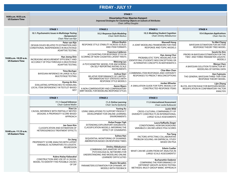#### **FRIDAY ∙ JULY 17**

| 9:00 a.m.-9:55 a.m.<br><b>US Eastern Time</b>   | <b>STAGE 1</b><br><b>Dissertation Prize: Maarten Kampert</b><br>Improved Strategies for Clustering Objects on Subsets of Attributes<br>Chair: Jeffrey Douglas |                                                                                                                                      |                                                                                                                           |                                                                                                             |  |
|-------------------------------------------------|---------------------------------------------------------------------------------------------------------------------------------------------------------------|--------------------------------------------------------------------------------------------------------------------------------------|---------------------------------------------------------------------------------------------------------------------------|-------------------------------------------------------------------------------------------------------------|--|
|                                                 | <b>STAGE 1</b>                                                                                                                                                | <b>STAGE 2</b>                                                                                                                       | <b>STAGE 3</b>                                                                                                            | <b>STAGE 4</b>                                                                                              |  |
|                                                 | 10.1: Psychometric Issues in Multistage Testing<br>(Symposium)<br>Chair: Peter van Rijn                                                                       | 10.2: Response Style Modeling<br><b>Chair: Keith Markus</b>                                                                          | 10.3: Modeling Student Cognition<br>Chair: Dmitry Abbakumov                                                               | 10.4: Bayesian Applications<br>Chair: Han Du                                                                |  |
|                                                 | Peter van Rijn<br>DESIGN ISSUES RELATED TO ESTIMATION AND<br>CONDITIONAL INDEPENDENCE IN MULTISTAGE<br><b>ADAPTIVE TESTING</b>                                | <b>Allison Boykin</b><br>RESPONSE STYLE STABILITY ACROSS SCALES<br><b>AND ITEM FORMATS</b>                                           | <b>Maxwell Hong</b><br>A JOINT MODELING FRAMEWORK FOR ITEM<br>RESPONSE AND TOPIC MODELS                                   | Yu-Wei Chang<br><b>BAYESIAN ESTIMATION FOR AN ITEM</b><br>RESPONSE THEORY TREE MODEL                        |  |
| 10:00 a.m.-10:35 a.m.<br><b>US Eastern Time</b> | Hyo Jeong Shin<br><b>INCREASING MEASUREMENT EFFICIENCY AND</b>                                                                                                | <b>Francisca Calderon</b><br>ACCOUNTING FOR RESPONSE STYLE IN<br>SCORING OF NON-COGNITIVE LATENT TRAITS                              | Hye-Jeong Choi<br>PROBABILISTIC TOPIC MODELING FOR<br>IDENTIFYING STUDENTS' MISCONCEPTIONS OR                             | Seock-Ho Kim<br>PRIORS IN BAYESIAN ESTIMATION FOR THE<br>TWO- AND THREE-PARAMETER LOGISTIC<br><b>MODELS</b> |  |
|                                                 | ACCURACY OF PISA THROUGH A MULTISTAGE<br><b>ADAPTIVE TESTING</b>                                                                                              | <b>Weicong Lyu</b><br>A PSYCHOMETRIC MODEL FOR ANCHORING<br>ON SELF-REPORTING RATING SCALE<br><b>INSTRUMENTS</b>                     | ALTERNATIVE CONCEPTS IN MATHEMATICS<br><b>Chia-Wen Chen</b>                                                               |                                                                                                             |  |
|                                                 | <b>Timo Bechger</b><br>BAYESIAN INFERENCE IN LARGE-SCALE<br>MULTISTAGE TESTING                                                                                | Joshua Starr<br>RELATIVE PERFORMANCE OF LIMITED-<br><b>INFORMATION TEST STATISTICS WITH</b>                                          | <b>COMBINING ITEM RESPONSES AND CERTAINTY</b><br>RESPONSES TO PREDICT MISCONCEPTIONS                                      | Ken Fujimoto<br>THE GENERAL BAYESIAN THREE-TIER ITEM<br><b>RESPONSE THEORY MODEL</b>                        |  |
|                                                 | Hyung Jin Kim<br>EVALUATING APPROACHES TO HANDLING<br><b>LOCAL ITEM DEPENDENCY IN TESTLET-BASED</b><br>MST                                                    | <b>RESPONSE STYLE MODELS</b><br><b>Aaron Myers</b><br>A NON-COMPENSATORY AND COMPENSATORY<br>MIRT MODEL FOR MODELING RESPONSE STYLES | <b>Jordan Wheeler</b><br>A SIMULATION GUIDE FOR TOPIC MODELS OF<br><b>CONSTRUCTED-RESPONSE ITEMS</b>                      | Lijin Zhang<br>BLCFA: AN R PACKAGE FOR BAYESIAN MODEL<br>MODIFICATION IN CONFIRMATORY FACTOR<br>ANALYSIS    |  |
|                                                 | <b>STAGE 1</b>                                                                                                                                                | <b>STAGE 2</b>                                                                                                                       | <b>STAGE 3</b>                                                                                                            |                                                                                                             |  |
|                                                 | 11.1: Causal Inference<br>Chair: Gabriel Wallin                                                                                                               | 11.2: Online Learning<br>Chair: Sacha Epskamp                                                                                        | 11.3: International Assessment<br>Chair: Leslie Rutkowski                                                                 |                                                                                                             |  |
|                                                 | Xiao Liu<br>CAUSAL INFERENCE WITH PARTIALLY NESTED<br>DESIGNS: A PROPENSITY-SCORE-BASED<br>APPROACH                                                           | Yuning Xu<br>USING SIMULATIONS TO SUPPORT PRODUCT<br>DEVELOPMENT FOR ONLINE LEARNING<br><b>ENVIRONMENTS</b>                          | <b>Justin Wild</b><br>CROSS-CULTURAL COMPARABILITY OF<br>DIVERSITY CONSTRUCTS IN INTERNATIONAL<br>LARGE-SCALE ASSESSMENTS |                                                                                                             |  |
| $10.40 \times m - 11.15 \times m$               | Jee-Seon Kim<br><b>CLASSIFICATION AND ESTIMATION OF</b><br>HETEROGENEOUS TREATMENT EFFECTS                                                                    | Hulya Duygu Yigit<br>EXTENDING EXPLORATORY DIAGNOSTIC<br>CLASSIFICATION MODELS: INFERRING THE<br>EFFECT OF COVARIATES                | Laura Raffaella Zieger<br>CONDITIONING: HOW BACKGROUND<br>VARIABLES CAN INFLUENCE PISA SCORES                             |                                                                                                             |  |

**Suhwa Han**

**Pan Tang**

BASED ON PISA

**Edwin Cuellar**

FACTORS AFFECTING COLLABORATIVE PROBLEM-SOLVING: AN EMPIRICAL STUDY

LARGE-SCALE ASSESSMENTS?

COMPARING THE PERFORMANCE OF DIFFERENT GROUPS ACROSS TESTING METHODS: MULTI-GROUP MIMIC APPROACH

**Burhanettin Ozdemir**

WHAT CAN WE LEARN FROM DIF ANALYSIS IN

**Dmitry Abbakumov**

**Maxim Skryabin**

LEARNERS' DIFFICULTIES

MODELS WITH FEEDBACK

SEQUENTIAL MONITORING OF EXAMINEE ABERRATION BASED ON RESPONSE TIMES

PARAMETERS ESTIMATION FOR DYNAMIC IRT

COMBINING EXPLANATORY IRT AND PSYCHOLOGICAL NETWORKS FOR UNDERSTANDING AND MODELING ONLINE

**Ge Jiang**

OF DIF

REGRESSION

**Kubra Atalay Kabasakal**

PROPENSITY SCORE ANALYSIS WITH LATENT VARIABLES: ALTERNATIVES TO LOGISTIC

CONSTRUCTION AND USE OF A CAUSAL MODEL TO IDENTIFY THE POSSIBLE CAUSES

**10:40 a.m.-11:15 a.m. US Eastern Time**